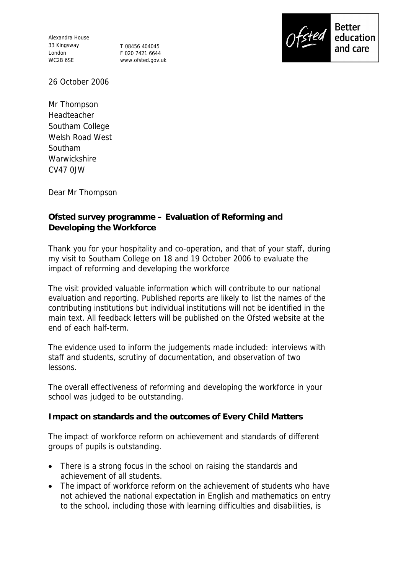Alexandra House 33 Kingsway London WC2B 6SE

T 08456 404045 F 020 7421 6644 www.ofsted.gov.uk



26 October 2006

Mr Thompson Headteacher Southam College Welsh Road West Southam **Warwickshire** CV47 0JW

Dear Mr Thompson

**Ofsted survey programme – Evaluation of Reforming and Developing the Workforce**

Thank you for your hospitality and co-operation, and that of your staff, during my visit to Southam College on 18 and 19 October 2006 to evaluate the impact of reforming and developing the workforce

The visit provided valuable information which will contribute to our national evaluation and reporting. Published reports are likely to list the names of the contributing institutions but individual institutions will not be identified in the main text. All feedback letters will be published on the Ofsted website at the end of each half-term.

The evidence used to inform the judgements made included: interviews with staff and students, scrutiny of documentation, and observation of two lessons.

The overall effectiveness of reforming and developing the workforce in your school was judged to be outstanding.

**Impact on standards and the outcomes of Every Child Matters**

The impact of workforce reform on achievement and standards of different groups of pupils is outstanding.

- There is a strong focus in the school on raising the standards and achievement of all students.
- The impact of workforce reform on the achievement of students who have not achieved the national expectation in English and mathematics on entry to the school, including those with learning difficulties and disabilities, is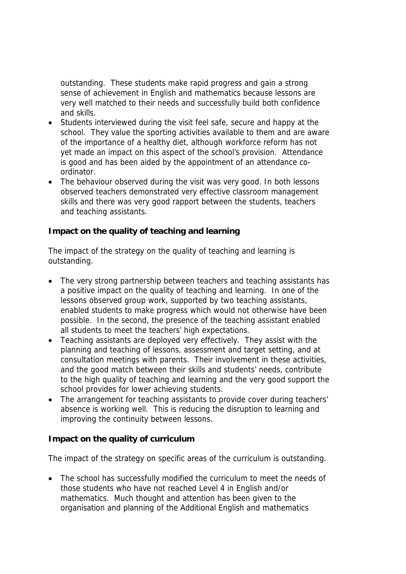outstanding. These students make rapid progress and gain a strong sense of achievement in English and mathematics because lessons are very well matched to their needs and successfully build both confidence and skills.

- Students interviewed during the visit feel safe, secure and happy at the school. They value the sporting activities available to them and are aware of the importance of a healthy diet, although workforce reform has not yet made an impact on this aspect of the school's provision. Attendance is good and has been aided by the appointment of an attendance coordinator.
- The behaviour observed during the visit was very good. In both lessons observed teachers demonstrated very effective classroom management skills and there was very good rapport between the students, teachers and teaching assistants.

**Impact on the quality of teaching and learning** 

The impact of the strategy on the quality of teaching and learning is outstanding.

- The very strong partnership between teachers and teaching assistants has a positive impact on the quality of teaching and learning. In one of the lessons observed group work, supported by two teaching assistants, enabled students to make progress which would not otherwise have been possible. In the second, the presence of the teaching assistant enabled all students to meet the teachers' high expectations.
- Teaching assistants are deployed very effectively. They assist with the planning and teaching of lessons, assessment and target setting, and at consultation meetings with parents. Their involvement in these activities, and the good match between their skills and students' needs, contribute to the high quality of teaching and learning and the very good support the school provides for lower achieving students.
- The arrangement for teaching assistants to provide cover during teachers' absence is working well. This is reducing the disruption to learning and improving the continuity between lessons.

**Impact on the quality of curriculum**

The impact of the strategy on specific areas of the curriculum is outstanding.

• The school has successfully modified the curriculum to meet the needs of those students who have not reached Level 4 in English and/or mathematics. Much thought and attention has been given to the organisation and planning of the Additional English and mathematics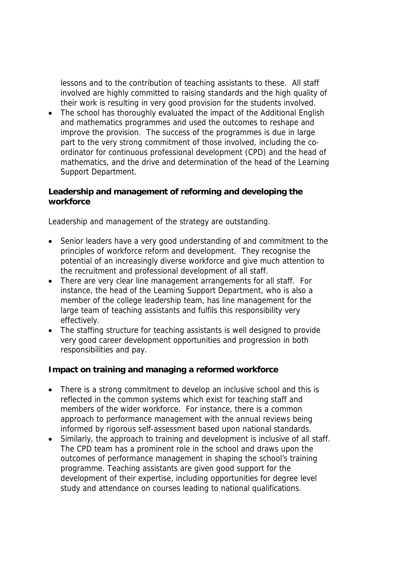lessons and to the contribution of teaching assistants to these. All staff involved are highly committed to raising standards and the high quality of their work is resulting in very good provision for the students involved.

 The school has thoroughly evaluated the impact of the Additional English and mathematics programmes and used the outcomes to reshape and improve the provision. The success of the programmes is due in large part to the very strong commitment of those involved, including the coordinator for continuous professional development (CPD) and the head of mathematics, and the drive and determination of the head of the Learning Support Department.

**Leadership and management of reforming and developing the workforce**

Leadership and management of the strategy are outstanding.

- Senior leaders have a very good understanding of and commitment to the principles of workforce reform and development. They recognise the potential of an increasingly diverse workforce and give much attention to the recruitment and professional development of all staff.
- There are very clear line management arrangements for all staff. For instance, the head of the Learning Support Department, who is also a member of the college leadership team, has line management for the large team of teaching assistants and fulfils this responsibility very effectively.
- The staffing structure for teaching assistants is well designed to provide very good career development opportunities and progression in both responsibilities and pay.

**Impact on training and managing a reformed workforce**

- There is a strong commitment to develop an inclusive school and this is reflected in the common systems which exist for teaching staff and members of the wider workforce. For instance, there is a common approach to performance management with the annual reviews being informed by rigorous self-assessment based upon national standards.
- Similarly, the approach to training and development is inclusive of all staff. The CPD team has a prominent role in the school and draws upon the outcomes of performance management in shaping the school's training programme. Teaching assistants are given good support for the development of their expertise, including opportunities for degree level study and attendance on courses leading to national qualifications.